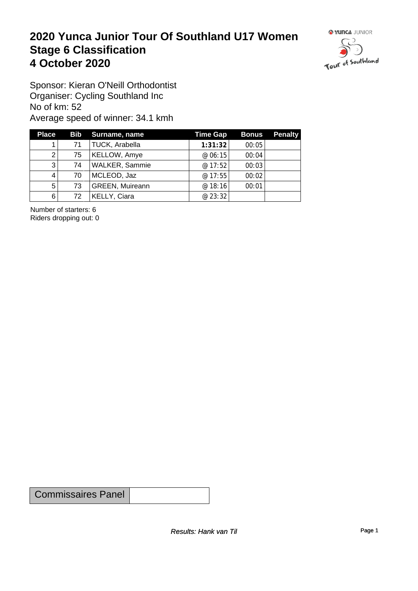#### **2020 Yunca Junior Tour Of Southland U17 Women** Stage 6 Classification<br>4 October 2020 **4 October 2020**



Sponsor: Kieran O'Neill Orthodontist Organiser: Cycling Southland Inc No of km: 52 Average speed of winner: 34.1 kmh

| <b>Place</b> |    | Bib Surname, name      | <b>Time Gap</b> | <b>Bonus</b> | <b>Penalty</b> |
|--------------|----|------------------------|-----------------|--------------|----------------|
|              | 71 | TUCK, Arabella         | 1:31:32         | 00:05        |                |
| 2            | 75 | <b>KELLOW, Amye</b>    | @06:15          | 00:04        |                |
| 3            | 74 | <b>WALKER, Sammie</b>  | @17:52          | 00:03        |                |
| 4            | 70 | MCLEOD, Jaz            | @ $17:55$       | 00:02        |                |
| 5            | 73 | <b>GREEN, Muireann</b> | @ 18:16         | 00:01        |                |
| 6            | 72 | KELLY, Ciara           | @ 23:32         |              |                |

Number of starters: 6 Riders dropping out: 0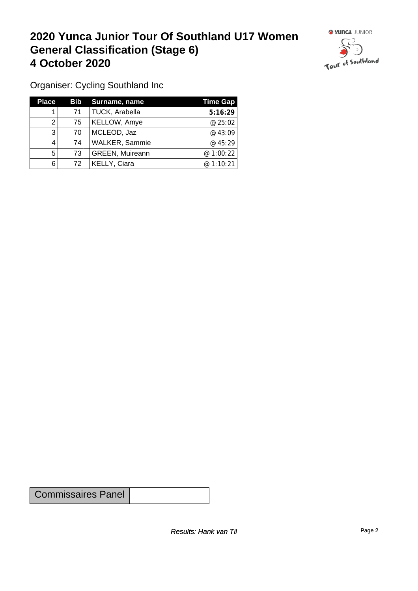#### **2020 Yunca Junior Tour Of Southland U17 Women General Classification (Stage 6)**<br>
4 October 2020 **4 October 2020**



Organiser: Cycling Southland Inc

| <b>Place</b> |    | <b>Bib</b> Surname, name | <b>Time Gap</b> |
|--------------|----|--------------------------|-----------------|
|              | 71 | TUCK, Arabella           | 5:16:29         |
|              | 75 | <b>KELLOW, Amye</b>      | @ 25:02         |
| 3            | 70 | MCLEOD, Jaz              | @43:09          |
|              | 74 | <b>WALKER, Sammie</b>    | @ 45:29         |
| 5            | 73 | <b>GREEN, Muireann</b>   | @ 1:00:22       |
| 6            | 72 | <b>KELLY, Ciara</b>      | @ 1:10:21       |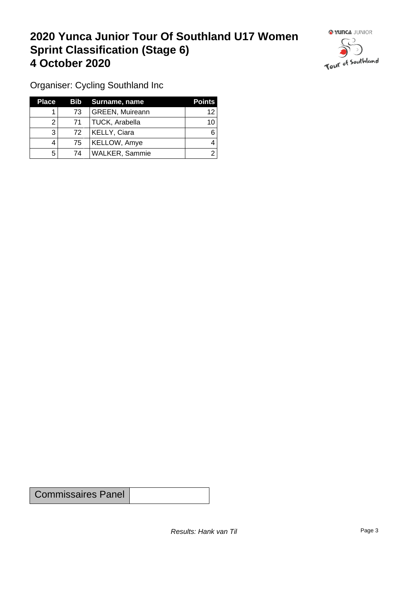## **2020 Yunca Junior Tour Of Southland U17 Women Sprint Classification (Stage 6) 4 October 2020**



Organiser: Cycling Southland Inc

| <b>Place</b> |                 | Bib Surname, name      | <b>Points</b> |
|--------------|-----------------|------------------------|---------------|
|              | 73              | <b>GREEN, Muireann</b> | 12            |
|              | 71              | TUCK, Arabella         | 10            |
| 3            | 72 <sub>1</sub> | KELLY, Ciara           |               |
|              | 75              | <b>KELLOW, Amye</b>    |               |
| 5            | 74              | <b>WALKER, Sammie</b>  |               |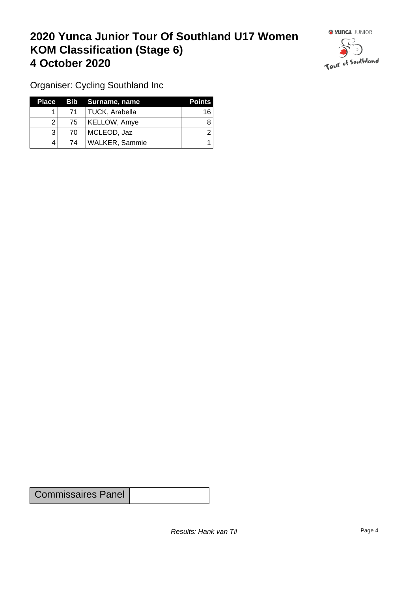## **2020 Yunca Junior Tour Of Southland U17 Women KOM Classification (Stage 6) 4 October 2020 19 To 2020 19 To 2020 19 To 2020**



Organiser: Cycling Southland Inc

|    | Place Bib Surname, name | <b>Points</b> |
|----|-------------------------|---------------|
| 71 | TUCK, Arabella          | 16            |
| 75 | KELLOW, Amye            |               |
| 70 | MCLEOD, Jaz             |               |
| 74 | WALKER, Sammie          |               |